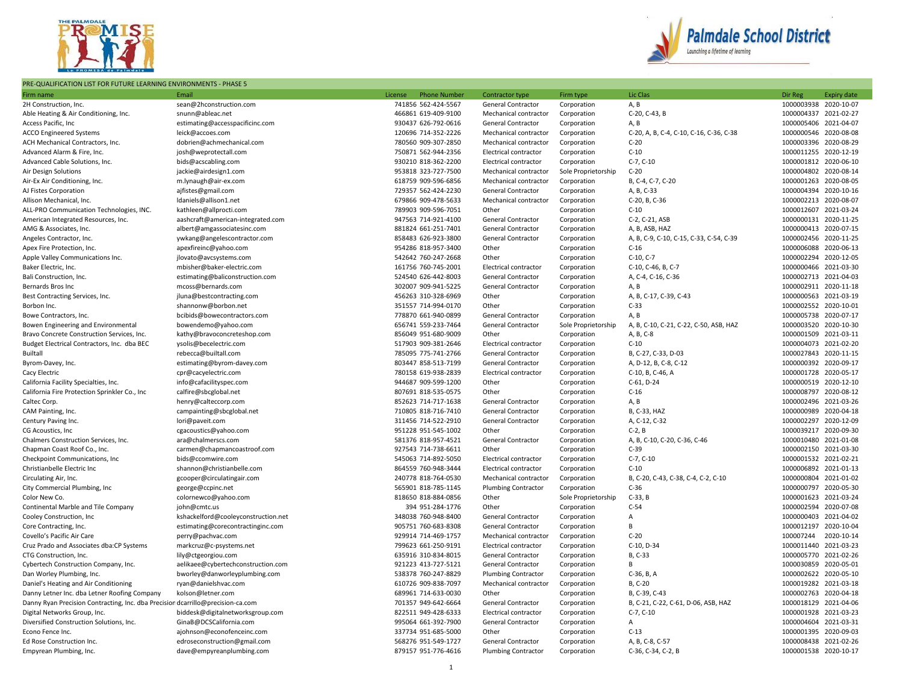

## PRE-QUALIFICATION LIST FOR FUTURE LEARNING ENVIRONMENTS - PHASE 5



| Firm name                                                                       | Email                               | License<br><b>Phone Number</b> | Contractor type              | Firm type           | Lic Clas                                          | Dir Reg               | <b>Expiry date</b>    |
|---------------------------------------------------------------------------------|-------------------------------------|--------------------------------|------------------------------|---------------------|---------------------------------------------------|-----------------------|-----------------------|
| 2H Construction, Inc.                                                           | sean@2hconstruction.com             | 741856 562-424-5567            | General Contractor           | Corporation         | A, B                                              | 1000003938 2020-10-07 |                       |
| Able Heating & Air Conditioning, Inc.                                           | snunn@ableac.net                    | 466861 619-409-9100            | Mechanical contractor        | Corporation         | C-20, C-43, B                                     | 1000004337 2021-02-27 |                       |
| Access Pacific, Inc                                                             | estimating@accesspacificinc.com     | 930437 626-792-0616            | General Contractor           | Corporation         | A, B                                              | 1000005406 2021-04-07 |                       |
| <b>ACCO Engineered Systems</b>                                                  | leick@accoes.com                    | 120696 714-352-2226            | Mechanical contractor        | Corporation         | C-20, A, B, C-4, C-10, C-16, C-36, C-38           | 1000000546 2020-08-08 |                       |
| ACH Mechanical Contractors, Inc.                                                | dobrien@achmechanical.com           | 780560 909-307-2850            | Mechanical contractor        | Corporation         | $C-20$                                            | 1000003396 2020-08-29 |                       |
| Advanced Alarm & Fire, Inc.                                                     | josh@weprotectall.com               | 750871 562-944-2356            | Electrical contractor        | Corporation         | $C-10$                                            | 1000011255 2020-12-19 |                       |
| Advanced Cable Solutions, Inc.                                                  | bids@acscabling.com                 | 930210 818-362-2200            | Electrical contractor        | Corporation         | $C-7, C-10$                                       | 1000001812 2020-06-10 |                       |
| Air Design Solutions                                                            | jackie@airdesign1.com               | 953818 323-727-7500            | Mechanical contractor        | Sole Proprietorship | $C-20$                                            | 1000004802 2020-08-14 |                       |
| Air-Ex Air Conditioning, Inc.                                                   | m.lynaugh@air-ex.com                | 618759 909-596-6856            | Mechanical contractor        | Corporation         | B, C-4, C-7, C-20                                 |                       | 1000001263 2020-08-05 |
| AJ Fistes Corporation                                                           | ajfistes@gmail.com                  | 729357 562-424-2230            | General Contractor           | Corporation         | A, B, C-33                                        | 1000004394 2020-10-16 |                       |
| Allison Mechanical, Inc.                                                        | Idaniels@allison1.net               | 679866 909-478-5633            | Mechanical contractor        | Corporation         | C-20, B, C-36                                     | 1000002213 2020-08-07 |                       |
| ALL-PRO Communication Technologies, INC.                                        | kathleen@allprocti.com              | 789903 909-596-7051            | Other                        | Corporation         | $C-10$                                            |                       | 1000012607 2021-03-24 |
| American Integrated Resources, Inc.                                             | aashcraft@american-integrated.com   | 947563 714-921-4100            | General Contractor           | Corporation         | C-2, C-21, ASB                                    |                       | 1000000131 2020-11-25 |
| AMG & Associates, Inc.                                                          | albert@amgassociatesinc.com         | 881824 661-251-7401            | General Contractor           | Corporation         | A, B, ASB, HAZ                                    | 1000000413 2020-07-15 |                       |
|                                                                                 |                                     | 858483 626-923-3800            | General Contractor           |                     |                                                   | 1000002456 2020-11-25 |                       |
| Angeles Contractor, Inc.                                                        | ywkang@angelescontractor.com        | 954286 818-957-3400            | Other                        | Corporation         | A, B, C-9, C-10, C-15, C-33, C-54, C-39<br>$C-16$ |                       | 1000006088 2020-06-13 |
| Apex Fire Protection, Inc.                                                      | apexfireinc@yahoo.com               |                                |                              | Corporation         |                                                   |                       |                       |
| Apple Valley Communications Inc.                                                | jlovato@avcsystems.com              | 542642 760-247-2668            | Other                        | Corporation         | $C-10, C-7$                                       | 1000002294 2020-12-05 |                       |
| Baker Electric, Inc.                                                            | mbisher@baker-electric.com          | 161756 760-745-2001            | Electrical contractor        | Corporation         | C-10, C-46, B, C-7                                | 1000000466 2021-03-30 |                       |
| Bali Construction, Inc.                                                         | estimating@baliconstruction.com     | 524540 626-442-8003            | General Contractor           | Corporation         | A, C-4, C-16, C-36                                | 1000002713 2021-04-03 |                       |
| Bernards Bros Inc                                                               | mcoss@bernards.com                  | 302007 909-941-5225            | General Contractor           | Corporation         | A, B                                              | 1000002911 2020-11-18 |                       |
| Best Contracting Services, Inc.                                                 | jluna@bestcontracting.com           | 456263 310-328-6969            | Other                        | Corporation         | A, B, C-17, C-39, C-43                            | 1000000563 2021-03-19 |                       |
| Borbon Inc.                                                                     | shannonw@borbon.net                 | 351557 714-994-0170            | Other                        | Corporation         | $C-33$                                            | 1000002552 2020-10-01 |                       |
| Bowe Contractors, Inc.                                                          | bcibids@bowecontractors.com         | 778870 661-940-0899            | General Contractor           | Corporation         | A, B                                              | 1000005738 2020-07-17 |                       |
| Bowen Engineering and Environmental                                             | bowendemo@yahoo.com                 | 656741 559-233-7464            | General Contractor           | Sole Proprietorship | A, B, C-10, C-21, C-22, C-50, ASB, HAZ            |                       | 1000003520 2020-10-30 |
| Bravo Concrete Construction Services, Inc.                                      | kathy@bravoconcreteshop.com         | 856049 951-680-9009            | Other                        | Corporation         | A, B, C-8                                         | 1000001509 2021-03-11 |                       |
| Budget Electrical Contractors, Inc. dba BEC                                     | ysolis@becelectric.com              | 517903 909-381-2646            | Electrical contractor        | Corporation         | $C-10$                                            |                       | 1000004073 2021-02-20 |
| Builtall                                                                        | rebecca@builtall.com                | 785095 775-741-2766            | General Contractor           | Corporation         | B, C-27, C-33, D-03                               | 1000027843 2020-11-15 |                       |
| Byrom-Davey, Inc.                                                               | estimating@byrom-davey.com          | 803447 858-513-7199            | General Contractor           | Corporation         | A, D-12, B, C-8, C-12                             | 1000000392 2020-09-17 |                       |
| Cacy Electric                                                                   | cpr@cacyelectric.com                | 780158 619-938-2839            | <b>Electrical contractor</b> | Corporation         | C-10, B, C-46, A                                  | 1000001728 2020-05-17 |                       |
| California Facility Specialties, Inc.                                           | info@cafacilityspec.com             | 944687 909-599-1200            | Other                        | Corporation         | C-61, D-24                                        |                       | 1000000519 2020-12-10 |
| California Fire Protection Sprinkler Co., Inc.                                  | calfire@sbcglobal.net               | 807691 818-535-0575            | Other                        | Corporation         | $C-16$                                            |                       | 1000008797 2020-08-12 |
| Caltec Corp.                                                                    | henry@calteccorp.com                | 852623 714-717-1638            | General Contractor           | Corporation         | A, B                                              |                       | 1000002496 2021-03-26 |
| CAM Painting, Inc.                                                              | campainting@sbcglobal.net           | 710805 818-716-7410            | General Contractor           | Corporation         | B, C-33, HAZ                                      | 1000000989 2020-04-18 |                       |
| Century Paving Inc.                                                             | lori@paveit.com                     | 311456 714-522-2910            | General Contractor           | Corporation         | A, C-12, C-32                                     | 1000002297 2020-12-09 |                       |
| CG Acoustics, Inc.                                                              | cgacoustics@yahoo.com               | 951228 951-545-1002            | Other                        | Corporation         | $C-2, B$                                          |                       | 1000039217 2020-09-30 |
| Chalmers Construction Services, Inc.                                            | ara@chalmerscs.com                  | 581376 818-957-4521            | General Contractor           | Corporation         | A, B, C-10, C-20, C-36, C-46                      | 1000010480 2021-01-08 |                       |
| Chapman Coast Roof Co., Inc.                                                    | carmen@chapmancoastroof.com         | 927543 714-738-6611            | Other                        | Corporation         | $C-39$                                            | 1000002150 2021-03-30 |                       |
| Checkpoint Communications, Inc.                                                 | bids@ccomwire.com                   | 545063 714-892-5050            | Electrical contractor        | Corporation         | $C-7, C-10$                                       | 1000001532 2021-02-21 |                       |
| Christianbelle Electric Inc                                                     | shannon@christianbelle.com          | 864559 760-948-3444            | Electrical contractor        | Corporation         | $C-10$                                            | 1000006892 2021-01-13 |                       |
| Circulating Air, Inc.                                                           | gcooper@circulatingair.com          | 240778 818-764-0530            | Mechanical contractor        | Corporation         | B, C-20, C-43, C-38, C-4, C-2, C-10               | 1000000804 2021-01-02 |                       |
| City Commercial Plumbing, Inc                                                   | george@ccpinc.net                   | 565901 818-785-1145            | <b>Plumbing Contractor</b>   | Corporation         | $C-36$                                            |                       | 1000000797 2020-05-30 |
| Color New Co.                                                                   | colornewco@yahoo.com                | 818650 818-884-0856            | Other                        | Sole Proprietorship | $C-33$ , B                                        | 1000001623 2021-03-24 |                       |
| Continental Marble and Tile Company                                             | john@cmtc.us                        | 394 951-284-1776               | Other                        | Corporation         | $C-54$                                            | 1000002594 2020-07-08 |                       |
| Cooley Construction, Inc                                                        | kshackelford@cooleyconstruction.net | 348038 760-948-8400            | General Contractor           | Corporation         | Α                                                 | 1000000403 2021-04-02 |                       |
| Core Contracting, Inc.                                                          | estimating@corecontractinginc.com   | 905751 760-683-8308            | General Contractor           | Corporation         | B                                                 | 1000012197 2020-10-04 |                       |
| Covello's Pacific Air Care                                                      | perry@pachvac.com                   | 929914 714-469-1757            | Mechanical contractor        | Corporation         | $C-20$                                            | 100007244             | 2020-10-14            |
| Cruz Prado and Associates dba:CP Systems                                        | markcruz@c-psystems.net             | 799623 661-250-9191            | Electrical contractor        | Corporation         | C-10, D-34                                        |                       | 1000011440 2021-03-23 |
| CTG Construction, Inc.                                                          | lily@ctgeorgiou.com                 | 635916 310-834-8015            | General Contractor           | Corporation         | B, C-33                                           | 1000005770 2021-02-26 |                       |
| Cybertech Construction Company, Inc.                                            | aelikaee@cybertechconstruction.com  | 921223 413-727-5121            | General Contractor           | Corporation         | B                                                 | 1000030859 2020-05-01 |                       |
| Dan Worley Plumbing, Inc.                                                       | bworley@danworleyplumbing.com       | 538378 760-247-8829            | <b>Plumbing Contractor</b>   | Corporation         | C-36, B, A                                        |                       | 1000002622 2020-05-10 |
| Daniel's Heating and Air Conditioning                                           | ryan@danielshvac.com                | 610726 909-838-7097            | Mechanical contractor        | Corporation         | B, C-20                                           | 1000019282 2021-03-18 |                       |
| Danny Letner Inc. dba Letner Roofing Company                                    | kolson@letner.com                   | 689961 714-633-0030            | Other                        | Corporation         | B, C-39, C-43                                     | 1000002763 2020-04-18 |                       |
| Danny Ryan Precision Contracting, Inc. dba Precisior dcarrillo@precision-ca.com |                                     | 701357 949-642-6664            | General Contractor           | Corporation         | B, C-21, C-22, C-61, D-06, ASB, HAZ               |                       | 1000018129 2021-04-06 |
| Digital Networks Group, Inc.                                                    | biddesk@digitalnetworksgroup.com    | 822511 949-428-6333            | Electrical contractor        | Corporation         | $C-7, C-10$                                       | 1000001928 2021-03-23 |                       |
| Diversified Construction Solutions, Inc.                                        | GinaB@DCSCalifornia.com             | 995064 661-392-7900            | <b>General Contractor</b>    | Corporation         | A                                                 | 1000004604 2021-03-31 |                       |
| Econo Fence Inc.                                                                | ajohnson@econofenceinc.com          | 337734 951-685-5000            | Other                        | Corporation         | $C-13$                                            | 1000001395 2020-09-03 |                       |
| Ed Rose Construction Inc.                                                       | edroseconstruction@gmail.com        | 568276 951-549-1727            | General Contractor           | Corporation         | A, B, C-8, C-57                                   |                       | 1000008438 2021-02-26 |
| Empyrean Plumbing, Inc.                                                         | dave@empyreanplumbing.com           | 879157 951-776-4616            | <b>Plumbing Contractor</b>   | Corporation         | C-36, C-34, C-2, B                                |                       | 1000001538 2020-10-17 |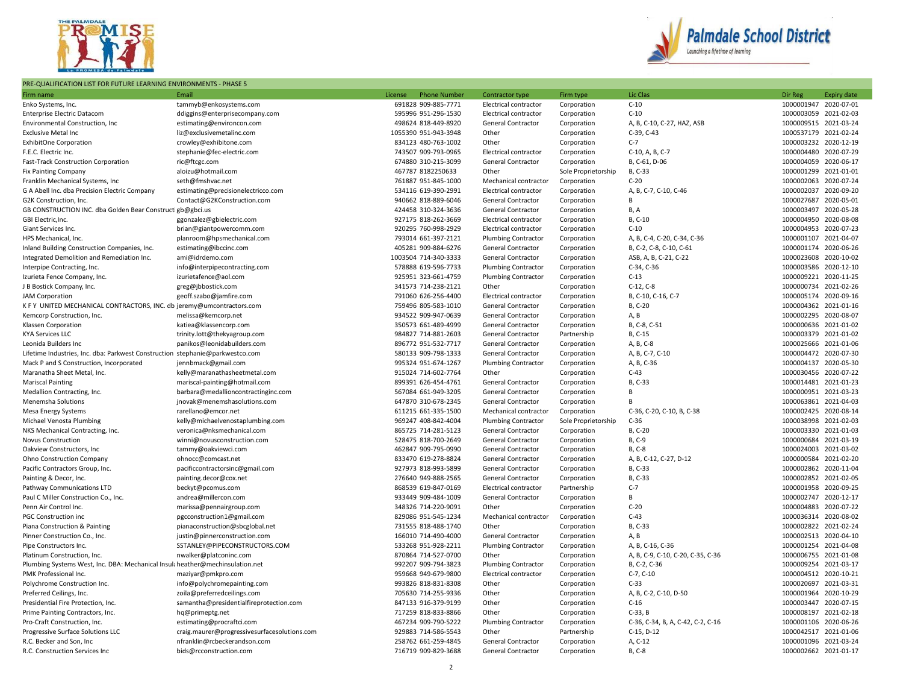

## PRE-QUALIFICATION LIST FOR FUTURE LEARNING ENVIRONMENTS - PHASE 5



| Firm name                                                                     | Email                                                                        | License<br><b>Phone Number</b> | Contractor type            | Firm type                  | Lic Clas                          | Dir Reg               | <b>Expiry date</b> |
|-------------------------------------------------------------------------------|------------------------------------------------------------------------------|--------------------------------|----------------------------|----------------------------|-----------------------------------|-----------------------|--------------------|
| Enko Systems, Inc.                                                            | tammyb@enkosystems.com                                                       | 691828 909-885-7771            | Electrical contractor      | Corporation                | $C-10$                            | 1000001947 2020-07-01 |                    |
| <b>Enterprise Electric Datacom</b>                                            | ddiggins@enterprisecompany.com                                               | 595996 951-296-1530            | Electrical contractor      | Corporation                | $C-10$                            | 1000003059 2021-02-03 |                    |
| Environmental Construction, Inc.                                              | estimating@environcon.com                                                    | 498624 818-449-8920            | General Contractor         | Corporation                | A, B, C-10, C-27, HAZ, ASB        | 1000009515 2021-03-24 |                    |
| <b>Exclusive Metal Inc</b>                                                    | liz@exclusivemetalinc.com                                                    | 1055390 951-943-3948           | Other                      | Corporation                | C-39, C-43                        | 1000537179 2021-02-24 |                    |
| <b>ExhibitOne Corporation</b>                                                 | crowley@exhibitone.com                                                       | 834123 480-763-1002            | Other                      | Corporation                | $C-7$                             | 1000003232 2020-12-19 |                    |
| F.E.C. Electric Inc.                                                          | stephanie@fec-electric.com                                                   | 743507 909-793-0965            | Electrical contractor      | Corporation                | C-10, A, B, C-7                   | 1000004480 2020-07-29 |                    |
| Fast-Track Construction Corporation                                           | ric@ftcgc.com                                                                | 674880 310-215-3099            | General Contractor         | Corporation                | B, C-61, D-06                     | 1000004059 2020-06-17 |                    |
| <b>Fix Painting Company</b>                                                   | aloizu@hotmail.com                                                           | 467787 8182250633              | Other                      | Sole Proprietorship        | B, C-33                           | 1000001299 2021-01-01 |                    |
| Franklin Mechanical Systems, Inc                                              | seth@fmshvac.net                                                             | 761887 951-845-1000            | Mechanical contractor      | Corporation                | $C-20$                            | 1000002063 2020-07-24 |                    |
| G A Abell Inc. dba Precision Electric Company                                 | estimating@precisionelectricco.com                                           | 534116 619-390-2991            | Electrical contractor      | Corporation                | A, B, C-7, C-10, C-46             | 1000002037 2020-09-20 |                    |
| G2K Construction, Inc.                                                        | Contact@G2KConstruction.com                                                  | 940662 818-889-6046            | General Contractor         | Corporation                | B                                 | 1000027687 2020-05-01 |                    |
| GB CONSTRUCTION INC. dba Golden Bear Construct gb@gbci.us                     |                                                                              | 424458 310-324-3636            | General Contractor         | Corporation                | B, A                              | 1000003497 2020-05-28 |                    |
| GBI Electric, Inc.                                                            | ggonzalez@gbielectric.com                                                    | 927175 818-262-3669            | Electrical contractor      | Corporation                | B, C-10                           | 1000004950 2020-08-08 |                    |
| Giant Services Inc.                                                           | brian@giantpowercomm.com                                                     | 920295 760-998-2929            | Electrical contractor      | Corporation                | $C-10$                            | 1000004953 2020-07-23 |                    |
| HPS Mechanical, Inc.                                                          | planroom@hpsmechanical.com                                                   | 793014 661-397-2121            | <b>Plumbing Contractor</b> | Corporation                | A, B, C-4, C-20, C-34, C-36       | 1000001107 2021-04-07 |                    |
| Inland Building Construction Companies, Inc.                                  | estimating@ibccinc.com                                                       | 405281 909-884-6276            | General Contractor         | Corporation                | B, C-2, C-8, C-10, C-61           | 1000001174 2020-06-26 |                    |
| Integrated Demolition and Remediation Inc.                                    | ami@idrdemo.com                                                              | 1003504 714-340-3333           | General Contractor         | Corporation                | ASB, A, B, C-21, C-22             | 1000023608 2020-10-02 |                    |
| Interpipe Contracting, Inc.                                                   | info@interpipecontracting.com                                                | 578888 619-596-7733            | <b>Plumbing Contractor</b> | Corporation                | C-34, C-36                        | 1000003586 2020-12-10 |                    |
| Izurieta Fence Company, Inc.                                                  | izurietafence@aol.com                                                        | 925951 323-661-4759            | <b>Plumbing Contractor</b> | Corporation                | $C-13$                            | 1000009221 2020-11-25 |                    |
| J B Bostick Company, Inc.                                                     | greg@jbbostick.com                                                           | 341573 714-238-2121            | Other                      | Corporation                | $C-12, C-8$                       | 1000000734 2021-02-26 |                    |
| <b>JAM Corporation</b>                                                        | geoff.szabo@jamfire.com                                                      | 791060 626-256-4400            | Electrical contractor      | Corporation                | B, C-10, C-16, C-7                | 1000005174 2020-09-16 |                    |
| K F Y UNITED MECHANICAL CONTRACTORS, INC. db jeremy@umcontractors.com         |                                                                              | 759496 805-583-1010            | General Contractor         | Corporation                | B, C-20                           | 1000004362 2021-01-16 |                    |
| Kemcorp Construction, Inc.                                                    | melissa@kemcorp.net                                                          | 934522 909-947-0639            | General Contractor         | Corporation                | A, B                              | 1000002295 2020-08-07 |                    |
| Klassen Corporation                                                           | katiea@klassencorp.com                                                       | 350573 661-489-4999            | General Contractor         | Corporation                | B, C-8, C-51                      | 1000000636 2021-01-02 |                    |
| <b>KYA Services LLC</b>                                                       | trinity.lott@thekyagroup.com                                                 | 984827 714-881-2603            | General Contractor         | Partnership                | B, C-15                           | 1000003379 2021-01-02 |                    |
| Leonida Builders Inc                                                          | panikos@leonidabuilders.com                                                  | 896772 951-532-7717            | General Contractor         | Corporation                | A, B, C-8                         | 1000025666 2021-01-06 |                    |
| Lifetime Industries, Inc. dba: Parkwest Construction stephanie@parkwestco.com |                                                                              | 580133 909-798-1333            | General Contractor         | Corporation                | A, B, C-7, C-10                   | 1000004472 2020-07-30 |                    |
| Mack P and S Construction, Incorporated                                       | jennbmack@gmail.com                                                          | 995324 951-674-1267            | <b>Plumbing Contractor</b> | Corporation                | A, B, C-36                        | 1000004137 2020-05-30 |                    |
| Maranatha Sheet Metal, Inc.                                                   | kelly@maranathasheetmetal.com                                                | 915024 714-602-7764            | Other                      | Corporation                | $C-43$                            | 1000030456 2020-07-22 |                    |
| <b>Mariscal Painting</b>                                                      | mariscal-painting@hotmail.com                                                | 899391 626-454-4761            | General Contractor         | Corporation                | B, C-33                           | 1000014481 2021-01-23 |                    |
| Medallion Contracting, Inc.                                                   | barbara@medallioncontractinginc.com                                          | 567084 661-949-3205            | General Contractor         | Corporation                | B                                 | 1000000951 2021-03-23 |                    |
| Menemsha Solutions                                                            | jnovak@menemshasolutions.com                                                 | 647870 310-678-2345            | General Contractor         | Corporation                | B                                 | 1000063861 2021-04-03 |                    |
| Mesa Energy Systems                                                           | rarellano@emcor.net                                                          | 611215 661-335-1500            | Mechanical contractor      | Corporation                | C-36, C-20, C-10, B, C-38         | 1000002425 2020-08-14 |                    |
| Michael Venosta Plumbing                                                      | kelly@michaelvenostaplumbing.com                                             | 969247 408-842-4004            | <b>Plumbing Contractor</b> | Sole Proprietorship        | $C-36$                            | 1000038998 2021-02-03 |                    |
| NKS Mechanical Contracting, Inc.                                              | veronica@nksmechanical.com                                                   | 865725 714-281-5123            | General Contractor         | Corporation                | B, C-20                           | 1000003330 2021-01-03 |                    |
| <b>Novus Construction</b>                                                     | winni@novusconstruction.com                                                  | 528475 818-700-2649            | <b>General Contractor</b>  | Corporation                | B, C-9                            | 1000000684 2021-03-19 |                    |
| Oakview Constructors, Inc.                                                    | tammy@oakviewci.com                                                          | 462847 909-795-0990            | General Contractor         | Corporation                | B, C-8                            | 1000024003 2021-03-02 |                    |
| Ohno Construction Company                                                     | ohnocc@comcast.net                                                           | 833470 619-278-8824            | General Contractor         | Corporation                | A, B, C-12, C-27, D-12            | 1000000584 2021-02-20 |                    |
| Pacific Contractors Group, Inc.                                               | pacificcontractorsinc@gmail.com                                              | 927973 818-993-5899            | <b>General Contractor</b>  | Corporation                | B, C-33                           | 1000002862 2020-11-04 |                    |
| Painting & Decor, Inc.                                                        | painting.decor@cox.net                                                       | 276640 949-888-2565            | <b>General Contractor</b>  | Corporation                | B, C-33                           | 1000002852 2021-02-05 |                    |
| Pathway Communications LTD                                                    | beckyt@pcomus.com                                                            | 868539 619-847-0169            | Electrical contractor      | Partnership                | $C-7$                             | 1000001958 2020-09-25 |                    |
| Paul C Miller Construction Co., Inc.                                          | andrea@millercon.com                                                         | 933449 909-484-1009            | <b>General Contractor</b>  | Corporation                | B                                 | 1000002747 2020-12-17 |                    |
| Penn Air Control Inc.                                                         | marissa@pennairgroup.com                                                     | 348326 714-220-9091            | Other                      | Corporation                | $C-20$                            | 1000004883 2020-07-22 |                    |
| <b>PGC Construction inc</b>                                                   | pgcconstruction1@gmail.com                                                   | 829086 951-545-1234            | Mechanical contractor      | Corporation                | $C-43$                            | 1000036314 2020-08-02 |                    |
| Piana Construction & Painting                                                 | pianaconstruction@sbcglobal.net                                              | 731555 818-488-1740            | Other                      | Corporation                | B, C-33                           | 1000002822 2021-02-24 |                    |
| Pinner Construction Co., Inc.                                                 | justin@pinnerconstruction.com                                                | 166010 714-490-4000            | General Contractor         | Corporation                | A, B                              | 1000002513 2020-04-10 |                    |
| Pipe Constructors Inc.                                                        | SSTANLEY@PIPECONSTRUCTORS.COM                                                | 533268 951-928-2211            | <b>Plumbing Contractor</b> | Corporation                | A, B, C-16, C-36                  | 1000001254 2021-04-08 |                    |
| Platinum Construction, Inc.                                                   | nwalker@platconinc.com                                                       | 870864 714-527-0700            | Other                      | Corporation                | A, B, C-9, C-10, C-20, C-35, C-36 | 1000006755 2021-01-08 |                    |
| Plumbing Systems West, Inc. DBA: Mechanical Insul; heather@mechinsulation.net |                                                                              | 992207 909-794-3823            | <b>Plumbing Contractor</b> | Corporation                | B, C-2, C-36                      | 1000009254 2021-03-17 |                    |
| PMK Professional Inc.                                                         | maziyar@pmkpro.com                                                           | 959668 949-679-9800            | Electrical contractor      | Corporation                | $C-7, C-10$                       | 1000004512 2020-10-21 |                    |
| Polychrome Construction Inc.                                                  | info@polychromepainting.com                                                  | 993826 818-831-8308            | Other                      | Corporation                | $C-33$                            | 1000020697 2021-03-31 |                    |
| Preferred Ceilings, Inc.                                                      | zoila@preferredceilings.com                                                  | 705630 714-255-9336            | Other                      | Corporation                | A, B, C-2, C-10, D-50             | 1000001964 2020-10-29 |                    |
| Presidential Fire Protection, Inc.                                            | samantha@presidentialfireprotection.com                                      | 847133 916-379-9199            | Other                      | Corporation                | $C-16$                            | 1000003447 2020-07-15 |                    |
| Prime Painting Contractors, Inc.                                              |                                                                              | 717259 818-833-8866            | Other                      | Corporation                | $C-33$ , $B$                      | 1000008197 2021-02-18 |                    |
| Pro-Craft Construction, Inc.                                                  | hq@primeptg.net<br>estimating@procraftci.com                                 | 467234 909-790-5222            | <b>Plumbing Contractor</b> | Corporation                | C-36, C-34, B, A, C-42, C-2, C-16 | 1000001106 2020-06-26 |                    |
|                                                                               |                                                                              | 929883 714-586-5543            | Other                      |                            | C-15, D-12                        | 1000042517 2021-01-06 |                    |
| Progressive Surface Solutions LLC<br>R.C. Becker and Son, Inc.                | craig.maurer@progressivesurfacesolutions.com<br>nfranklin@rcbeckerandson.com | 258762 661-259-4845            | General Contractor         | Partnership                | A, C-12                           | 1000001096 2021-03-24 |                    |
| R.C. Construction Services Inc                                                | bids@rcconstruction.com                                                      | 716719 909-829-3688            | <b>General Contractor</b>  | Corporation<br>Corporation | B, C-8                            | 1000002662 2021-01-17 |                    |
|                                                                               |                                                                              |                                |                            |                            |                                   |                       |                    |